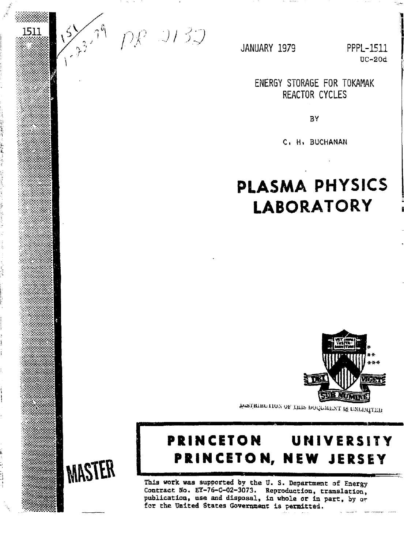$\sum_{33} 197$   $\rho$ R 2132

1511

JANUARY 1979

PPPL-1511  $UC-20d$ 

ENERGY STORAGE FOR TOKAMAK **REACTOR CYCLES** 

BY

C. H. BUCHANAN

# PLASMA PHYSICS **LABORATORY**



TIME INVESTIGATION OF THE POCTMENT IS UNITATED.

# **PRINCETON** UNIVERSITY PRINCETON, NEW JERSEY

This work was supported by the U.S. Department of Energy Contract No. EY-76-C-02-3073. Reproduction, translation, publication, use and disposal, in whole or in part, by or for the United States Government is permitted.



i<br>Bil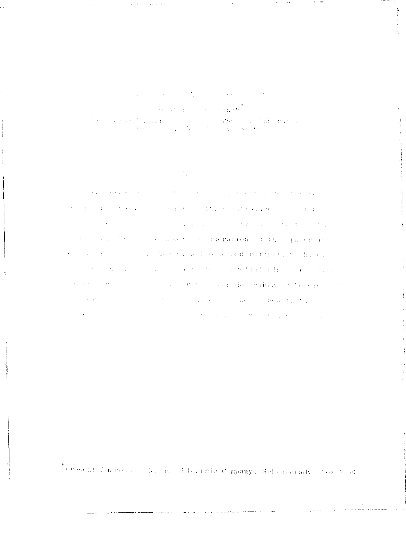### $\mathcal{A}$  and  $\mathcal{A}$  are the set of the set of the set of the set of the set of the set of the set of the set of the set of the set of the set of the set of the set of the set of the set of the set of the set of the set

The State of Carolina and Party  $\sim$  0.000  $\mu$  m and  $\sim$  0.000  $\mu$  m and 0.000  $\mu$  m and 0.000  $\mu$  m and 0.000  $\mu$  m and 0.000  $\mu$  m and 0.000  $\mu$  m and 0.000  $\mu$  m and 0.000  $\mu$ 

## $\label{eq:2.1} \mathcal{L}^{\mathcal{A}}_{\mathcal{A}}=\mathcal{L}^{\mathcal{A}}_{\mathcal{A}}\left(\mathcal{A}^{\mathcal{A}}_{\mathcal{A}}\right)=\mathcal{L}^{\mathcal{A}}_{\mathcal{A}}\left(\mathcal{A}^{\mathcal{A}}_{\mathcal{A}}\right)$

a para proposition of the contract of the contract of a structure of the contract of the contract of the date of the theory and the state theory of the annual state advertise of the state of  $\mathcal{L}^{\mathcal{L}}(\mathcal{L}^{\mathcal{L}})$  , where  $\mathcal{L}^{\mathcal{L}}(\mathcal{L}^{\mathcal{L}})$  $\mathcal{L}^{\mathcal{L}}$  and  $\mathcal{L}^{\mathcal{L}}$  are the set of the final set of the set of the  $\mathcal{L}^{\mathcal{L}}$ and the model of the company and also the field to the field of the part of the second and the community of the state of the problems and restructures plus one and the state of the company of the state of the state of the state of the state of the state of the  $\beta$  , where  $\beta$  is the second of the set of the set of the second  $\beta$  $\mathcal{A}=\{x_1,\ldots,x_n\}$  , where  $\mathcal{A}=\{x_1,\ldots,x_n\}$  $\mathcal{O}(\mathcal{O}(\log n))$  . The set of  $\mathcal{O}(\log n)$ and the construction of the development of the service and the service of the service and the service of the service of the service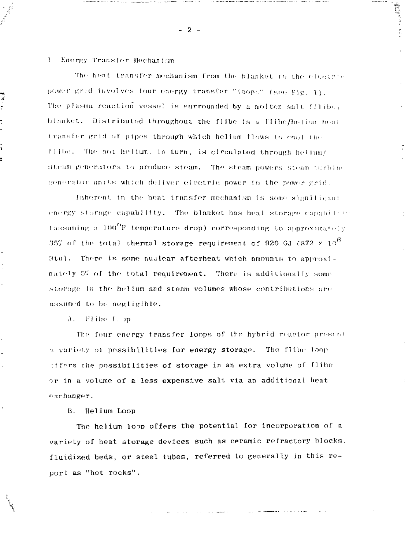#### I Knergy TninsTrir Mechanism

į

The heat transfer mechanism from the blanket to the electric power grid involves four energy transfer "loops" (see Fig. 1). The plasma reaction vessel is surrounded by a molten salt  $(f|ibe)$ blanket. Distributed throughout the flibe is a flibe/helium heal transfer grid of pipes through which helium flows to cool the II ibe. The hot. helium, in turn, is circulated through helium/ steam generators to produce steam. The steam powers steam turbing generator units which deliver electric power to the power grid.

Inherent, in the heat transfer mechanism is some significant energy storage capability. The blanket has heat storage capability (assuming a  $100^{\circ}$ F temperature drop) corresponding to approximately  $35\%$  of the total thermal storage requirement of 920 GJ (872  $\times$  10 $^{\rm O}$ Htu). There is some nuclear afterheat which amounts to approxi $matedy$  5% of the total requirement. There is additionally some storage in the helium and steam volumes whose contributions are assumed to be- negligible.

A. ri ibe I., ip

The four energy transfer loops of the hybrid reactor present  $\alpha$  variety of possibilities for energy storage. The flibe loop offers the possibilities of storage in an extra volume of flibe or in a volume of a less expensive salt via an additional heat exchanger.

B. Helium Loop

The helium lopp offers the potential for incorporation of a variety of heat storage devices such as ceramic refractory blocks, fluidized beds, or steel tubes, referred to generally in this report as "hot rocks".

- 2 -

**意**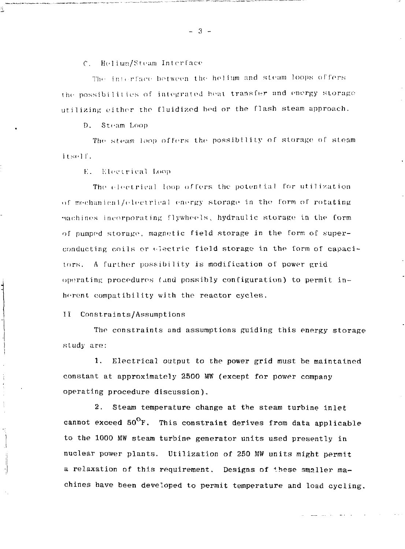C. Helium/Steam Interface

The interface between the helium and steam loops offers the possibilities of integrated heat transfer and energy storage utilizing either the fluidtzod bed or the flash steam approach.

D. Steam Loop

The steam loop offers the possibility of storage of steam i tsel f.

E. Electrical Loop

The electrical loop offers the potential for utilization of mechanical/electrical energy storage in the form of rotating machines incorporating flywheels, hydraulic storage in the form of pumped storage, magnetic field storage in the form of superconducting coils or electric field storage in the form of capacitors. A further possibility is modification of power grid operating procedures (and possibly configuration) to permit inherent compatibility with the reactor cycles.

II Constraints/Assumptions

The constraints and assumptions guiding this energy storage .study are:

1. Electrical output to the power grid must be maintained constant at approximately 2500 MW (except for power company operating procedure discussion).

2. Steam temperature change at the steam turbine inlet cannot exceed  $50^{\circ}$ F. This constraint derives from data applicable to the 1000 MW steam turbine generator units used presently in nuclear power plants. Utilization of 250 MW units might permit a relaxation of this requirement. Designs of these smaller machines have been developed to permit temperature and load cycling.

**- 3 -**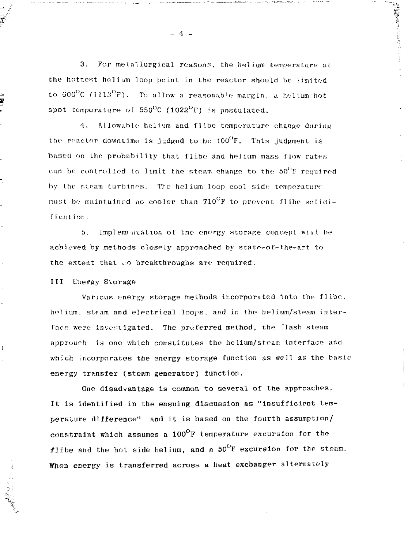3. For metallurgical reasons, the helium temperature at the hottest helium loop point in the reactor should be limited to  $600^{\circ}$ C (1113<sup>°</sup>F). To allow a reasonable margin, a helium hot spot temperature of 550 $^{\circ}$ C (1022 $^{\circ}$ F) is postulated.

4. Allowable helium and flibe temperature change during the reactor downtime is judged to be  $100^{\circ}$ F. This judgment is hased on the probability that flibe and helium mass Clow rates can be controlled to limit the steam change to the  $50^{0}$ F required by the steam turbines. The helium loop cool side temperature must be maintained no cooler than  $710^{\circ}$ F to prevent flibe solidification.

 $5.$  Implementation of the energy storage concept will be achieved by methods closely approached by state-of-the-art to the extent that  $\omega$  breakthroughs are required.

Ill Energy Storage

Ŧ

ł

Various energy storage methods incorporated into the flibe. helium, steam and electrical loops, and in the helium/steam interface were investigated. The preferred method, the flash steam approach is one which constitutes the helium/steam interface and which incorporates the energy storage function as well as the basic energy transfer (steam generator) function.

One disadvantage is common to several of the approaches. It is identified in the ensuing discussion as "insufficient temperature difference" and it is based on the fourth assumption/ constraint which assumes a 100°F temperature excursion for the flibe and the hot side helium, and a  $50^{6}$ F excursion for the steam. When energy is transferred across a heat exchanger alternately

4 -

(数の数字)提示は きほんかんこう コード・バー かんかん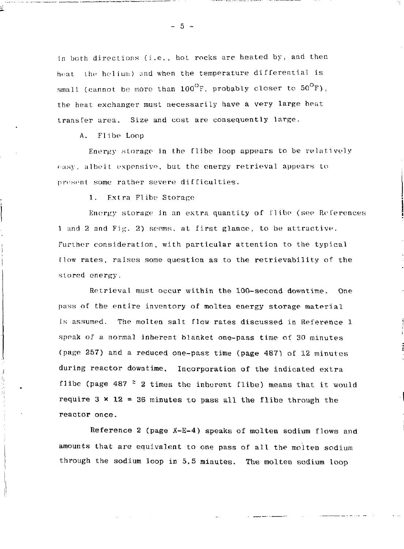in both directions (i.e., hot rocks are heated by, and then heat the helium) and when the temperature differential is small (cannot be more than  $100^{\circ}$ F, probably closer to  $50^{\circ}$ F). the heat exchanger must necessarily have a very large heat transfer area. Size and cost are consequently large.

A. Flibe Loop

Energy storage in the flibe loop appears to be relatively easy, albeit expensive, but the energy retrieval appears to present some rather severe difficulties.

1. Extra Flibe Storage

Energy storage in an extra quantity of flibe (see References 1 and 2 and Fjg. 2) seems, at first glance, to be attractive. Further consideration, with particular attention to the typical flow rates, raises some question as to the retrievability of the stored energy.

Retrieval must occur within the 100-second downtime. One pass of the entire inventory of molten energy storage material is assumed. The molten salt flow rates discussed in Reference 1 speak of a normal inherent blanket one-pass time of 30 minutes (page 257) and a reduced one-pass time (page  $487$ ) of 12 minutes during reactor downtime. Incorporation of the indicated extra flibe (page  $487 \times 2$  times the inherent flibe) means that it would require  $3 \times 12 = 36$  minutes to pass all the flibe through the reactor once.

Reference 2 (page X-E-4) speaks of molten sodium flows and amounts that are equivalent to one pass of all the molten sodium through the sodium loop in 5,5 minutes. The molten sodium loop

 $-5 -$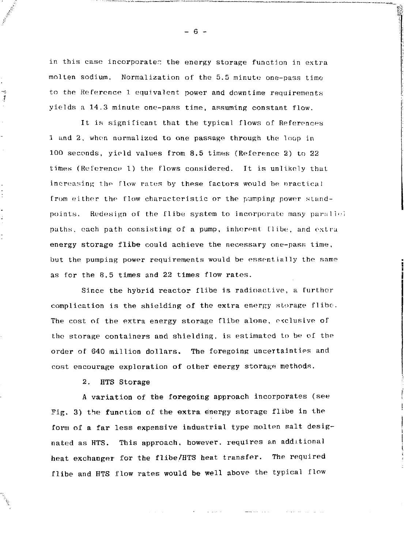in this case incorporates the energy storage function in extra molten sodium. Normalization of the 5.5 minute one-pass time to the Reference 1 equivalent power and downtime requirements yields a 14.3 minute one-pass time, assuming constant flow.

It is significant that the typical flows of References 1 and 2, when normalized to one passage through the loop in 100 seconds, yield values from 8.5 times (Reference 2) to 22 times (Reference 1) the flows considered. It is unlikely that increasing the flow rates by these factors would be nractical from either the flow characteristic or the pumping power standpoints. Redesign of the flibe system to incorporate many parallel paths, each path consisting of a pump, inherent llibe, and extra energy storage flibe could achieve the necessary one-pass time, but the pumping power requirements would be essentially the same as for the 8.5 times and 22 times flow rates.

Since the hybrid reactor flibe is radioactive, a further complication is the shielding of the extra energy storage flibc. The cost of the extra energy storage flibe alone, exclusive of the storage containers and shielding, is estimated to be of the order of 640 million dollars. The foregoing uncertainties and cost encourage exploration of other energy storage methods.

2. HTS Storage

Ĵ

 $\frac{1}{2}$ 

A variation of the foregoing approach incorporates (see Fig. 3) the funclion of the extra energy storage flibe in the form of a far less expensive industrial type molten salt designated as HTS. This approach, however, requires an additional heat exchanger for the flibe/HTS heat transfer. The required flibe and HTS flow rates would be well above the typical flow

- 6 -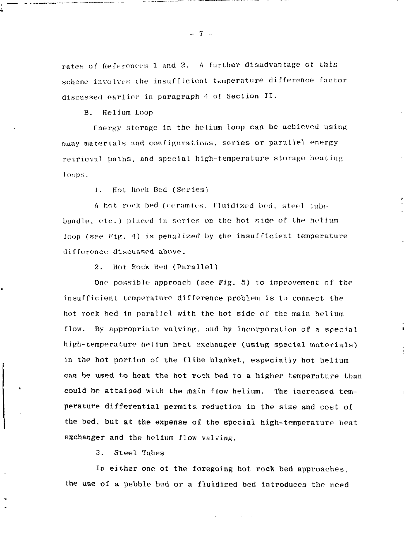rates of References 1 and 2. A further disadvantage of this scheme involves the insufficient temperature difference factor discussed earlier in paragraph 4 of Section II.

B. Helium Loop

Energy storage in the helium loop can be achieved using many materials and configurations, series or parallel energy retrieval paths, and special high-temperature storage heating loops.

1. Hot Rock Bed (Series)

A hot rock bed (ceramics, fluidized bed. steel tubebundle, etc:.) placed in series on the hot side of the helium loop (see Fig. 4) is penalized by the insufficient temperature difference discussed above.

2. Hot Rock Bed (Parallel)

One possible approach (see Fig. 5) to improvement of the insufficient temperature difference problem is to connect the hot rock bed in parallel with the hot side of the main helium flow. By appropriate valving, and by incorporation of a special high-temperature helium heat exchanger (using special materials) in the hot portion of the flibe blanket, especially hot helium can be used to heat the hot rock bed to a higher temperature than could he attained with the main flow helium. The increased temperature differential permits reduction in the size and cost of the bed, but at the expense of the special high-temperature heat exchanger and the helium flow valving.

3. Steel Tubes

In either one of the foregoing hot rock bed approaches, the use of a pebble bed or a fluidized bed introduces the need

- 7 -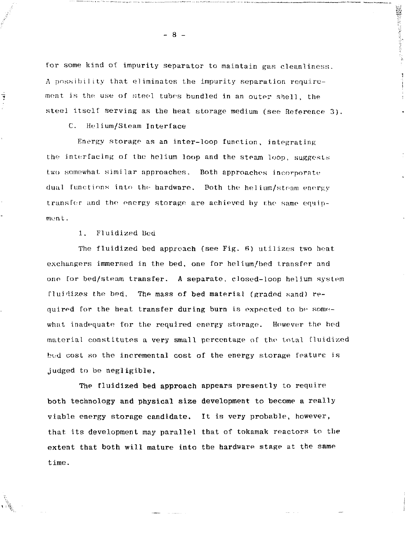for some kind of impurity separator to maintain gas cleanliness. A possibility that eliminates the impurity separation requirement is the use of steel tubes bundled in an outer shell, the steel itself serving as the heat storage medium (see Reference 3). C. Helium/Steam Interface

Ī

Energy storage as an inter-loop function, integrating the interfacing of the helium loop and the steam loop, suggests two somewhat similar approaches. Both approaches incorporate dual functions into the hardware. Both the helium/steam energy transfer and the energy storage are achieved by the same equipmen t.

1. Fluidized Bed

The fluidized bed approach (see Fig. R) utilizes two heat exchangers immersed in the bed, one for helium/bed transfer and one for bed/steam transfer. A separate, closed-loop helium system fluidizes the bed. The mass of bed material (graded sand) required for the heat transfer during burn is expected to be somewhat inadequate for the required energy storage. However the bed material constitutes a very small percentage of the total fluidized bed cost so the incremental cost of the energy storage feature is judged to be negligible.

The fluidized bed approach appears presently to require both technology and physical size development to become a really viable energy storage candidate. It is very probable, however, that its development may parallel that of tokamak reactors to the extent that both will mature into the hardware stage at the same time.

- 8 -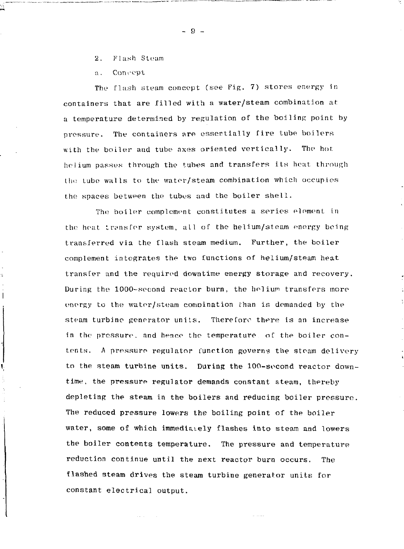- 2. Flash Steam
- a. Concept

ŧ,

The flash steam concept (see Fig. 7) stores energy in containers that are filled with a water/steam combination at a temperature determined by regulation of the boiling point by pressure. The containers are essentially fire tube boilers with the boiler and tube axes oriented vertically. The hot helium passes through the tubes and transfers its heat through Llie Lube walls to the water/steam combination which occupies the spaces between the tubes and the boiler shell.

The boiler complement constitutes a series element in the heat transfer system, all of the helium/steam energy being transferred via the flash steam medium. Further, the boiler complement integrates the two functions of helium/steam heat transfer and the required downtime energy storage and recovery. During the 1000-second reactor burn, the helium transfers more energy to the water/steam compination than is demanded by the steam turbine generator units. Therefore there is an increase in the pressure, and hence the temperature of the boiler contents. A pressure regulator function governs the steam delivery to the steam turbine units. During the 100-second reactor downtime, the pressure regulator demands constant steam, thereby depleting the steam in the boilers and reducing boiler pressure. The reduced pressure lowers the boiling point of the boiler water, some of which immediately flashes into steam and lowers the boiler contents temperature. The pressure and temperature reduction continue until the next reactor burn occurs. The flashed steam drives the steam turbine generator units for constant electrical output.

- 9 -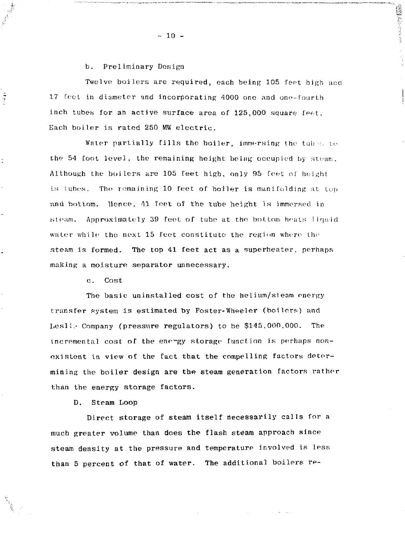b. Preliminary Design

Twelve boilers are required, each being 105 feet high and 17 Ceet in diameter and incorporating 4000 one and one-fourth inch tubes for an active surface area of 125,000 square feet. Each boiler is rated 250 MW electric.

**我想要告诉!** 

Water partially fills the boiler, immersing the tubes to the 54 foot level, the remaining height being occupied by steam. Although the boilers are 105 feet high, only 95 feet of height is tubes. The remaining 10 feet of boiler is manifolding at top •and bottom, Hence, Al feet of the tube height is immersed in steam. Approximately 39 Teet of tuhe at the bottom heats 1 iquid water while the next 15 feet constitute the region where the steam is formed. The top 41 feet act as a superheater, perhaps making a moisture separator unnecessary.

c. Cost

Ź

The basic uninstalled cost of the helium/steam energy transfer system is estimated by Foster-Wheeler (boilers) and Lesli.- Company (pressure regulators) to be \$145,000,000. The incremental cost oT the energy storage function is perhaps nonexistent in view of the fact that the compelling factors determining the boiler design are the steam generation factors rather than the energy storage factors.

D. Steam Loop

Direct storage of steam itself necessarily calls for a much greater volume than does the flash steam approach since steam density at the pressure and temperature involved is less than 5 percent *of* that of water. The additional boilers re-

**- 10 -**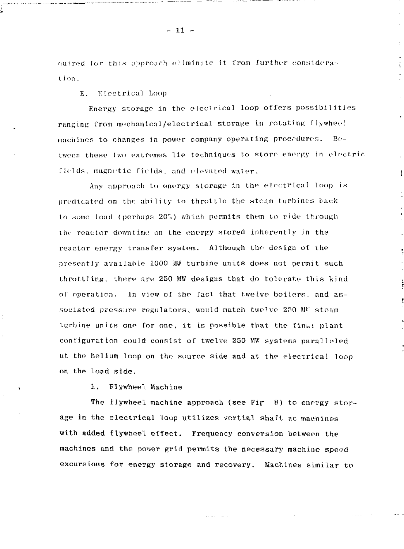quired for this approach eliminate it from further considerat ion.

E. Electrical Loop

Energy storage in the electrical loop offers possibilities ranging from mechanical/electrical storage in rotating flywheel machines to changes in power company operating procedures. Between these Iwo extremes lie techniques to store energy in electric fields, magnetic fields, and elevated water.

t

 $\begin{array}{c} \hline \end{array}$ 

Any approach to energy storage in the electrical loop is predicated on the ability to throttle the steam turbines tack to some load (perhaps  $20\%$ ) which permits them to ride through the reactor downtime on the energy stored inherently in the reactor energy transfer system. Although the design of the presently available 1000 MW turbine units does not permit such throttling, there are 250 MW designs that do tolerate this kind of operation. In view of the fact that twelve boilers, and associated pressure regulators, would match twelve 250 MF steam turbine units one for one, it is possible that the final plant configuration could consist of twelve 250 MW systems paralleled at the helium loop on the source side and at the electrical loop on the load side.

1. Flywheel Machine

The flywheel machine approach (see Fig 8) to energy storage in the electrical loop utilizes vertial shaft ac machines with added flywheel effect. Frequency conversion between the machines and the power grid permits the necessary machine speed excursions for energy storage and recovery. Machines similar to

 $-11 -$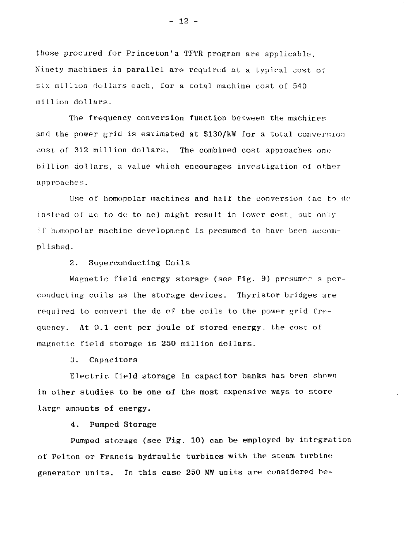those procured for Princeton'a TFTR program are applicable. Ninety machines in parallel are required at a typical cost of six million dollars each, for a total machine cost of 540 mi 11 ion dollars.

The frequency conversion function between the machines and the power grid is escimated at \$130/kW for a total conversion cost of 312 million dollars. The combined cost approaches one billion dollars, a value which encourages investigation of other approaches.

Use of homopolar machines and half the conversion (ac to dr instead of ac to dc to ac) might result in lower cost, but only if homopolar machine development is presumed to have been accomplished.

2. Superconducting Coils

Magnetic field energy storage (see Fig. 9) presumes s pereonducting coils as the storage devices. Thyristor bridges are required to convert the dc of the coils to the power grid frequency. At 0.1 cent per joule of stored energy, the cost of magnetic field storage is 250 million dollars.

*3.* Capacitors

Electric, field storage in capacitor banks has been shown in other studies to be one of **the** most expensive ways to store large amounts of energy.

4. Pumped Storage

Pumped storage (see Fig. 10) can be employed by integration of Pelton or Francis hydraulic turbines with the steam turbine generator units. In this case 250 MW units are considered be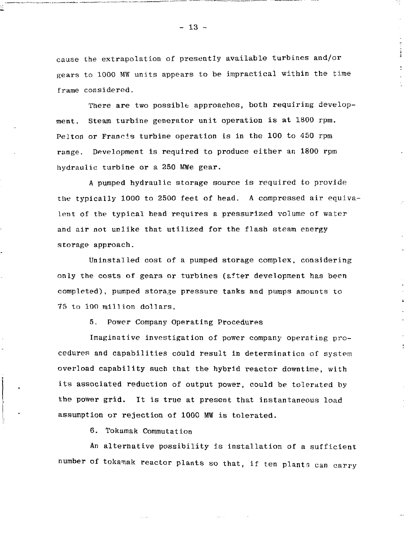cause the extrapolation of presently available turbines and/or gears to 1000 MW units appears to be impractical within the time frame considered.

There are two possible approaches, both requiring development. Steam turbine generator unit operation is at 1800 rpm. Pelton or Francis turbine operation is in the 100 to 450 rpm range. Development is required to produce either an 1800 rpm hydraulic turbine or a 250 MWe gear.

A pumped hydraulic storage source is required to provide the typically 1000 to 2500 feet of head. A compressed air equivalent of the typical head requires a pressurized volume of water and air not unlike that utilized for the flash steam energy storage approach.

Uninstalled cost of a pumped storage complex, considering only the costs of gears or turbines (Efter development has been completed), pumped storage pressure tanks and pumps amounts to 75 to 100 million dollars.

5. Power Company Operating Procedures

Imaginative investigation of power company operating procedures and capabilities could result in determination of system overload capability such that the hybrid reactor downtime, with its associated reduction of output power, could be tolerated by the power grid. It is true at present that instantaneous load assumption or rejection of 1000 MW is tolerated.

6. Tokamak Commutation

An alternative possibility is installation of a sufficient number of tokamak reactor plants so that, if ten plants can carry

 $-13 -$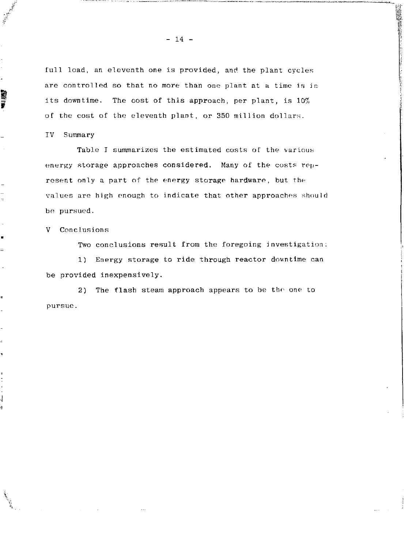full load, an eleventh one is provided, and the plant cycles are controlled so that no more than one plant at a time is in its downtime. The cost of this approach, per plant, is 10% of the cost of the eleventh plant, or 350 million dollars.

IV Summary

**RIVER** 

 $=$ 

Table I summarizes the estimated costs of the various energy storage approaches considered. Many of the costs represent only a part of the energy storage hardware, but the values are high enough to indicate that other approaches should be pursued.

V Conclusions

Two conclusions result from the foregoing investigation:

1) Energy storage to ride through reactor downtime can be provided inexpensively.

2) The flash steam approach appears to be the one to pursue.

 $- 14 -$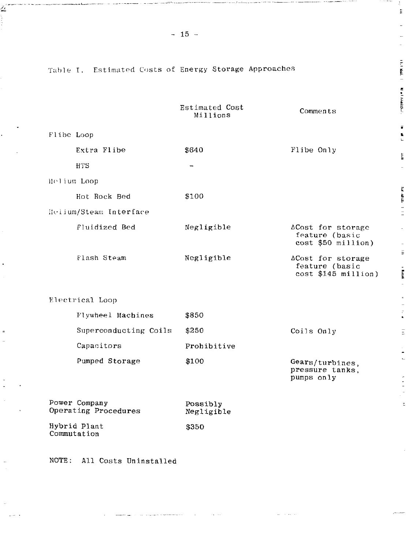Table I, Estimated Costs of Energy Storage Approaches

⊻

|                                       | Estimated Cost<br>Millions | Comments                                                    |
|---------------------------------------|----------------------------|-------------------------------------------------------------|
| Flibe Loop                            |                            |                                                             |
| Extra Flibe                           | \$640                      | Flibe Only                                                  |
| <b>HTS</b>                            |                            |                                                             |
| Helium Loop                           |                            |                                                             |
| Hot Rock Bed                          | \$100                      |                                                             |
| Helium/Steam Interface                |                            |                                                             |
| Fluidized Bed                         | Negligible                 | ∆Cost for storage<br>feature (basic<br>$cost$ \$50 million) |
| Flash Steam                           | Negligible                 | ΔCost for storage<br>feature (basic<br>cost \$145 million)  |
| Electrical Loop                       |                            |                                                             |
| Flywheel Machines                     | \$850                      |                                                             |
| Superconducting Coils                 | \$250                      | Coils Only                                                  |
| Capacitors                            | Prohibitive                |                                                             |
| Pumped Storage                        | \$100                      | Gears/turbines,<br>pressure tanks,<br>pumps only            |
| Power Company<br>Operating Procedures | Possibly<br>Negligible     |                                                             |
| Hybrid Plant<br>Commutation           | \$350                      |                                                             |

NOTE: All Costs Uninstalled

 $-15$   $-$ 

ğ.

 $\frac{1}{2}$  and  $\frac{1}{2}$ 

**The Milk of Disk Control** is

Ì.

**The Real Property** 

E

Ę

 $\frac{9}{2}$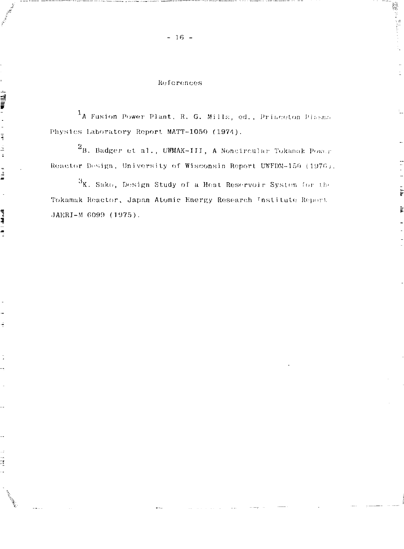#### References

▲韓国重量 - ・・・ paper - n - n -

in Main

 $\frac{1}{2}$ 

ł ù,

Allen Salak

<sup>1</sup>A Fusion Power Plant, R. G. Mills, ed., Princeton Plasma Physics Laboratory Report MATT-1050 (1974).

 $2B$ . Badger et al., UWMAK-III, A Noncircular Tokamak Power Reactor Design, University of Wisconsin Report UWFDM-156 (1976).

 $3\$ K. Sako, Design Study of a Heat Reservoir System for the Tokamak Reactor, Japan Atomic Energy Research Institute Report JAERI-M 6099 (1975).

**Service** 

.<br>F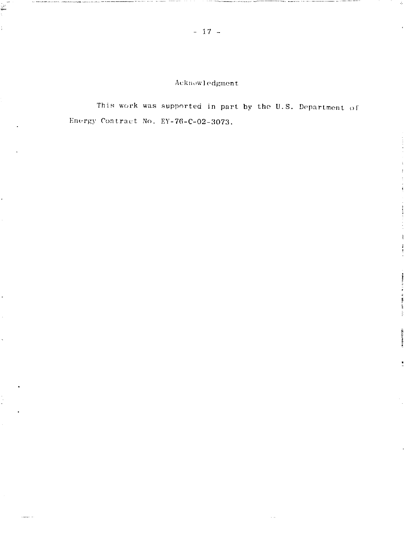Acknowledgment

This work was supported in part by the U.S. Department of Energy Contract No. EY-76-C-02-3073.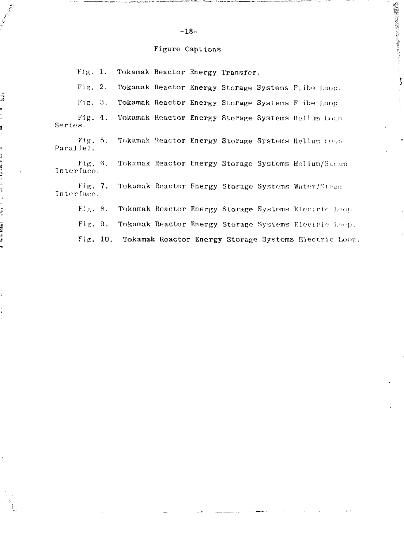#### Figure Captions

 $-18-$ 

Tokamak Reactor Energy Transfer. Fig.  $1.$ 

Fig.  $2.$ Tokamak Reactor Energy Storage Systems Flibe Loop. **大陆的 医甲状腺病的 医皮肤麻痹 医外科学家 医心脏病** 

计编译

Tokamak Reactor Energy Storage Systems Flibe Loop. Fig.  $3.$ 

Tokamak Reactor Energy Storage Systems Helium Loop Fig. 4. Series.

Fig. 5. Tokamak Reactor Energy Storage Systems Helium Loute Parallel.

Fig. 6. Tokamak Reactor Energy Storage Systems Helium/Steam Interface.

Tokamak Reactor Energy Storage Systems Water/Steam Fig. 7. Interface.

Fig.  $8.$ Tokamak Reactor Energy Storage Systems Electric Loop.

Tokamak Reactor Energy Storage Systems Electric Loop.  $Fig. 9.$ 

Fig. 10. Tokamak Reactor Energy Storage Systems Electric Loop.

Charles Contractor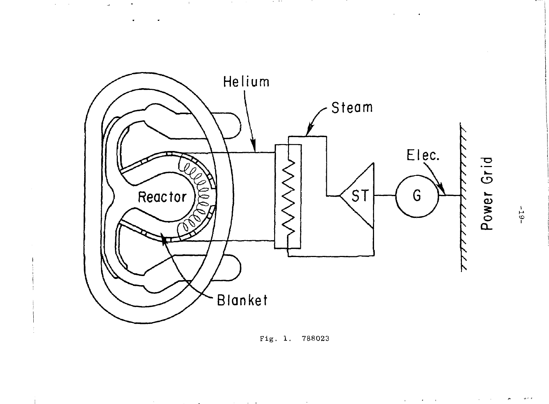

 $\mathcal{L}^{\pm}$  $\sim$   $\sim 1$  .

 $\sim 10^{11}$  MeV

**Controller** 

and the



the control of the control of the con-

**Contract** 

 $\mathcal{A}^{\mathcal{A}}$  and  $\mathcal{A}^{\mathcal{A}}$  and  $\mathcal{A}^{\mathcal{A}}$ 

 $\alpha$  ,  $\beta$  ,  $\alpha$  ,  $\beta$ 

 $-18-$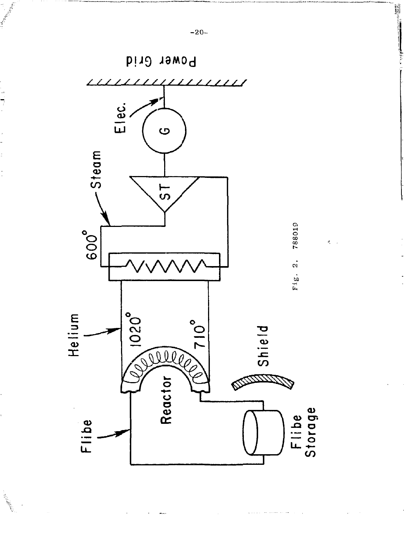

ن<br>محمد<br>في

Controller Controller Controller Controller Controller Controller Controller Controller Controller Controller<br>Controller Controller Controller Controller Controller Controller Controller Controller Controller Controller<br>Co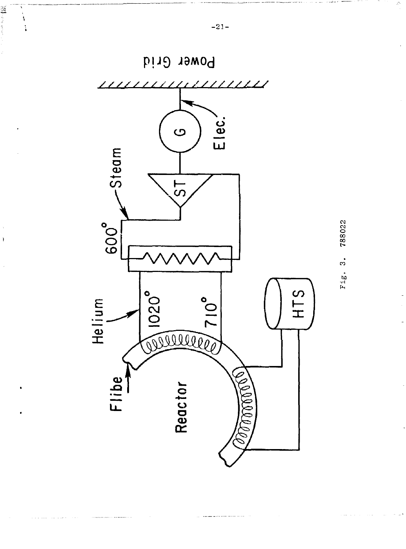

788022 Fig. 3.

医子宫

Y

١

 $\ddot{\tilde{}}$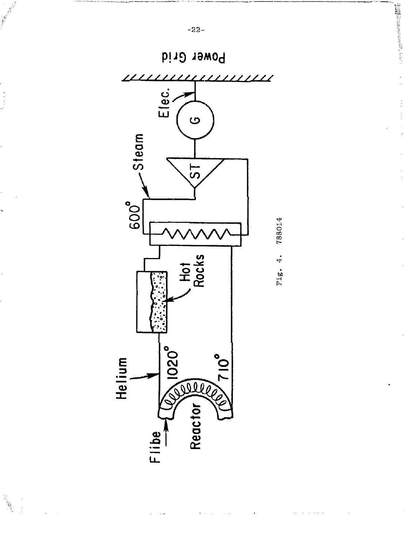

788014 Fig. 4. ● 軽減200mmの300mm以下の10mmで、201mm、201mm、201mm、201mm、201mm、201mm、201mm、201mm、201mm、201mm、201mm、201mm、201mm、201mm、20

 $\begin{aligned} \frac{\partial}{\partial t} & = \frac{\partial}{\partial t} \frac{\partial}{\partial x} + \frac{\partial}{\partial t} \frac{\partial}{\partial x} + \frac{\partial}{\partial x} \frac{\partial}{\partial x} + \frac{\partial}{\partial x} \frac{\partial}{\partial x} + \frac{\partial}{\partial x} \frac{\partial}{\partial x} + \frac{\partial}{\partial x} \frac{\partial}{\partial x} + \frac{\partial}{\partial x} \frac{\partial}{\partial x} + \frac{\partial}{\partial x} \frac{\partial}{\partial x} + \frac{\partial}{\partial x} \frac{\partial}{\partial x} + \frac{\partial}{\partial x} \frac{\partial}{\partial x} + \frac{\partial}{\partial x} \frac{\partial}{$ 

All March 19

 $\frac{1}{2}$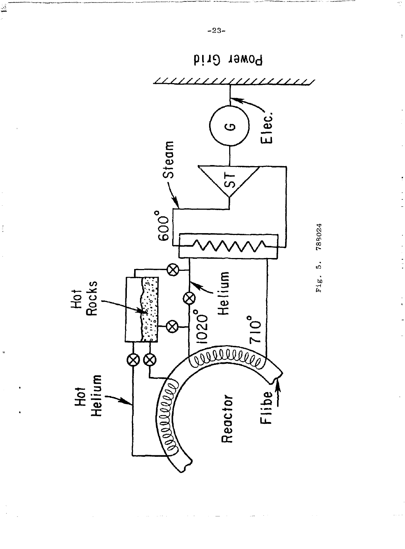

789024 Fig. 5.

 $-23-$ 

ia<br>C

 $\frac{1}{2}$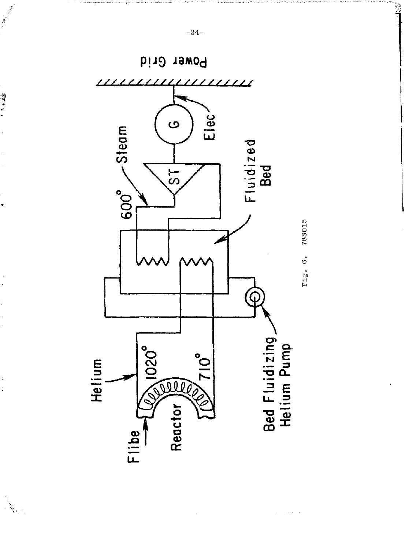

 $-24-$ 

**CONTRACTOR** 

 $\ddot{\ddot{z}}$ 

 $\frac{1}{2}$ 

ြို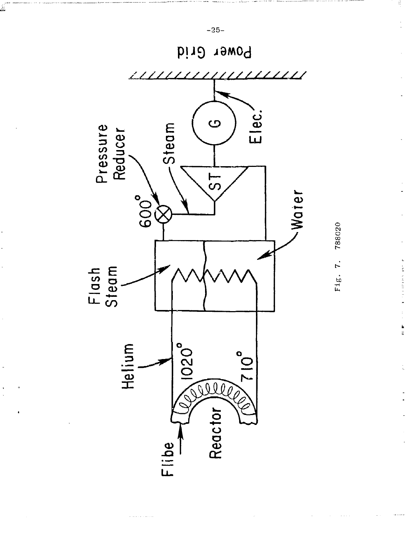

Fig. 7. 788020

contract the state of the contract of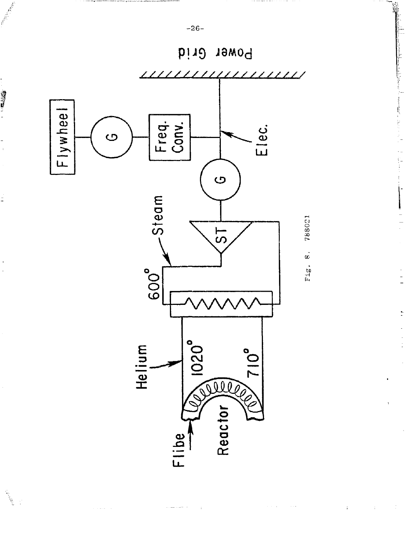

通过了

 $\bar{z}$ 

وسامته والمناقل فالمرادين

**The Content of Content of Content of Content**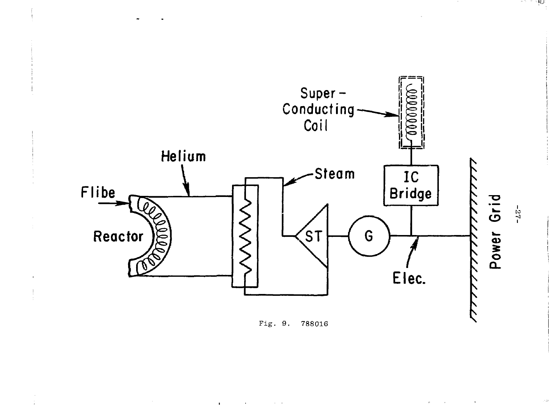

17 T NBA

ć,

 $\sim 100$ 

 $\epsilon$ 

 $\sigma$ 



and the state of the state of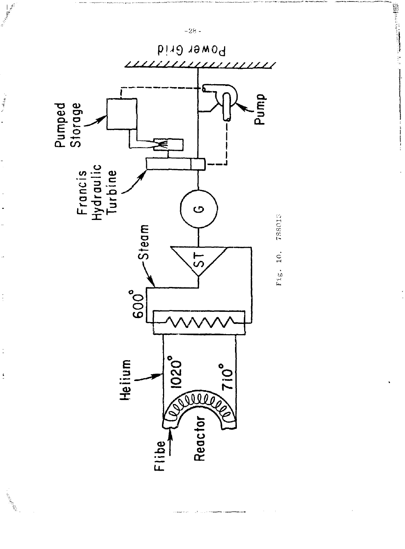

**1020°** 

Flibe

Dulles

Reactor

**POIZ** 

Helium

**Controller Street** 

 $\mathcal{N}$  of  $\mathcal{G}_{\mathcal{M}}$  ,  $\mathcal{S}$ 

 $\vdots$ 

 $\frac{1}{2}$ 

 $\frac{4}{3}$ 

a (politica).<br>Contra de la politica de la contra de la contra de la contra de la contra de la contra de la contra de la contra<br>Contra de la contra de la contra de la contra de la contra de la contra de la contra de la cont

Pumped<br>Storage

788013 Fig. 10.